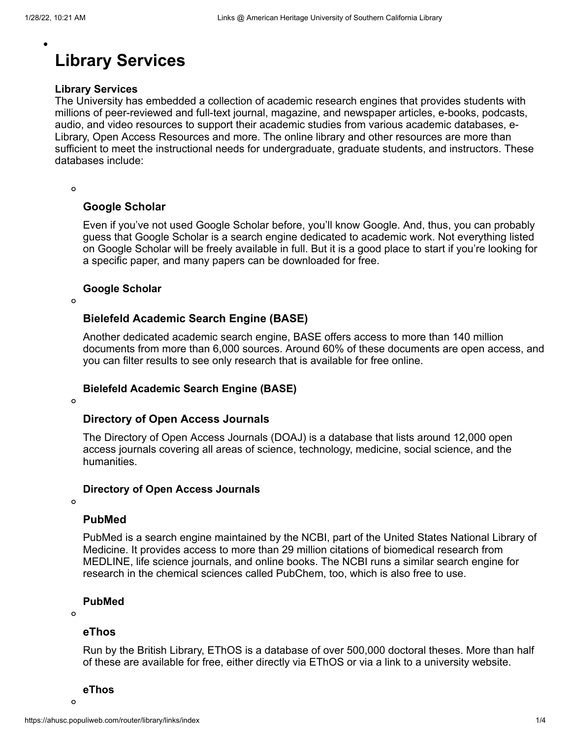# **Library Services**

### **Library Services**

The University has embedded a collection of academic research engines that provides students with millions of peer-reviewed and full-text journal, magazine, and newspaper articles, e-books, podcasts, audio, and video resources to support their academic studies from various academic databases, e-Library, Open Access Resources and more. The online library and other resources are more than sufficient to meet the instructional needs for undergraduate, graduate students, and instructors. These databases include:

 $\Omega$ 

### **[Google Scholar](https://scholar.google.com/)**

Even if you've not used Google Scholar before, you'll know Google. And, thus, you can probably guess that Google Scholar is a search engine dedicated to academic work. Not everything listed on Google Scholar will be freely available in full. But it is a good place to start if you're looking for a specific paper, and many papers can be downloaded for free.

### **Google Scholar**

 $\Omega$ 

### **[Bielefeld Academic Search Engine \(BASE\)](https://www.base-search.net/)**

Another dedicated academic search engine, BASE offers access to more than 140 million documents from more than 6,000 sources. Around 60% of these documents are open access, and you can filter results to see only research that is available for free online.

#### **Bielefeld Academic Search Engine (BASE)**

 $\Omega$ 

### **[Directory of Open Access Journals](https://doaj.org/)**

The Directory of Open Access Journals (DOAJ) is a database that lists around 12,000 open access journals covering all areas of science, technology, medicine, social science, and the humanities.

#### **Directory of Open Access Journals**

 $\Omega$ 

### **[PubMed](https://pubmed.ncbi.nlm.nih.gov/)**

PubMed is a search engine maintained by the NCBI, part of the United States National Library of Medicine. It provides access to more than 29 million citations of biomedical research from MEDLINE, life science journals, and online books. The NCBI runs a similar search engine for research in the chemical sciences called PubChem, too, which is also free to use.

### **PubMed**

 $\circ$ 

### **[eThos](https://ethos.bl.uk/Home.do)**

Run by the British Library, EThOS is a database of over 500,000 doctoral theses. More than half of these are available for free, either directly via EThOS or via a link to a university website.

#### **eThos**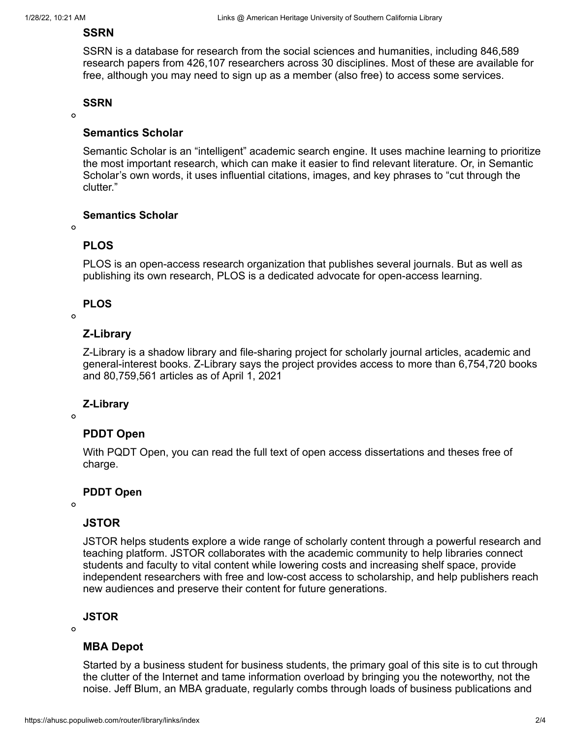# **[SSRN](https://www.ssrn.com/index.cfm/en/)**

SSRN is a database for research from the social sciences and humanities, including 846,589 research papers from 426,107 researchers across 30 disciplines. Most of these are available for free, although you may need to sign up as a member (also free) to access some services.

### **SSRN**

 $\Omega$ 

# **[Semantics Scholar](https://www.semanticscholar.org/)**

Semantic Scholar is an "intelligent" academic search engine. It uses machine learning to prioritize the most important research, which can make it easier to find relevant literature. Or, in Semantic Scholar's own words, it uses influential citations, images, and key phrases to "cut through the clutter."

# **Semantics Scholar**

 $\Omega$ 

# **[PLOS](https://plos.org/)**

PLOS is an open-access research organization that publishes several journals. But as well as publishing its own research, PLOS is a dedicated advocate for open-access learning.

# **PLOS**

 $\Omega$ 

# **[Z-Library](https://z-lib.org/)**

Z-Library is a shadow library and file-sharing project for scholarly journal articles, academic and general-interest books. Z-Library says the project provides access to more than 6,754,720 books and 80,759,561 articles as of April 1, 2021

# **Z-Library**

 $\circ$ 

# **[PDDT Open](https://www.proquest.com/?defaultdiss=true)**

With PQDT Open, you can read the full text of open access dissertations and theses free of charge.

# **PDDT Open**

 $\Omega$ 

# **[JSTOR](https://about.jstor.org/oa-and-free/)**

JSTOR helps students explore a wide range of scholarly content through a powerful research and teaching platform. JSTOR collaborates with the academic community to help libraries connect students and faculty to vital content while lowering costs and increasing shelf space, provide independent researchers with free and low-cost access to scholarship, and help publishers reach new audiences and preserve their content for future generations.

# **JSTOR**

 $\Omega$ 

# **[MBA Depot](https://www.mbadepot.com/)**

Started by a business student for business students, the primary goal of this site is to cut through the clutter of the Internet and tame information overload by bringing you the noteworthy, not the noise. Jeff Blum, an MBA graduate, regularly combs through loads of business publications and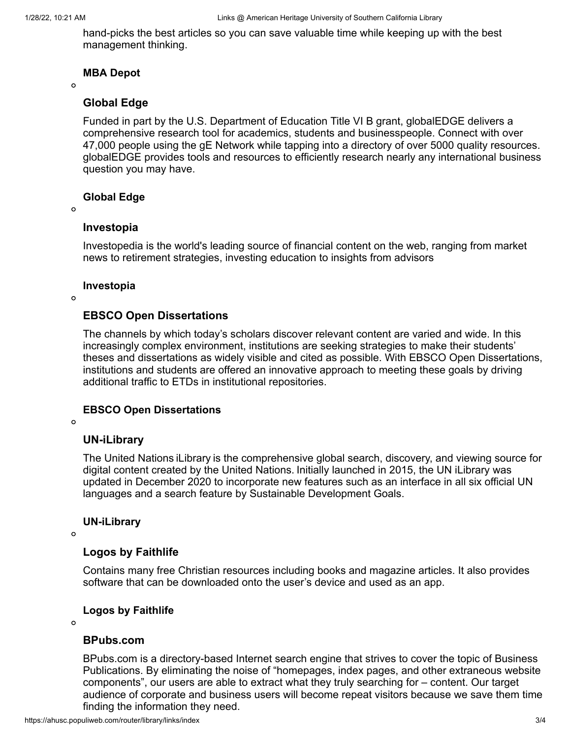hand-picks the best articles so you can save valuable time while keeping up with the best management thinking.

### **MBA Depot**

 $\Omega$ 

### **[Global Edge](https://globaledge.msu.edu/)**

Funded in part by the U.S. Department of Education Title VI B grant, globalEDGE delivers a comprehensive research tool for academics, students and businesspeople. Connect with over 47,000 people using the gE Network while tapping into a directory of over 5000 quality resources. globalEDGE provides tools and resources to efficiently research nearly any international business question you may have.

### **Global Edge**

#### $\Omega$

### **[Investopia](https://www.investopedia.com/)**

Investopedia is the world's leading source of financial content on the web, ranging from market news to retirement strategies, investing education to insights from advisors

### **Investopia**

 $\circ$ 

# **[EBSCO Open Dissertations](https://biblioboard.com/opendissertations/)**

The channels by which today's scholars discover relevant content are varied and wide. In this increasingly complex environment, institutions are seeking strategies to make their students' theses and dissertations as widely visible and cited as possible. With EBSCO Open Dissertations, institutions and students are offered an innovative approach to meeting these goals by driving additional traffic to ETDs in institutional repositories.

# **EBSCO Open Dissertations**

 $\circ$ 

# **[UN-iLibrary](https://www.un-ilibrary.org/about)**

The United Nations iLibrary is the comprehensive global search, discovery, and viewing source for digital content created by the United Nations. Initially launched in 2015, the UN iLibrary was updated in December 2020 to incorporate new features such as an interface in all six official UN languages and a search feature by Sustainable Development Goals.

### **UN-iLibrary**

 $\Omega$ 

# **[Logos by Faithlife](https://www.logos.com/features)**

Contains many free Christian resources including books and magazine articles. It also provides software that can be downloaded onto the user's device and used as an app.

# **Logos by Faithlife**

 $\Omega$ 

# **[BPubs.com](http://www.bpubs.com/)**

BPubs.com is a directory-based Internet search engine that strives to cover the topic of Business Publications. By eliminating the noise of "homepages, index pages, and other extraneous website components", our users are able to extract what they truly searching for – content. Our target audience of corporate and business users will become repeat visitors because we save them time finding the information they need.